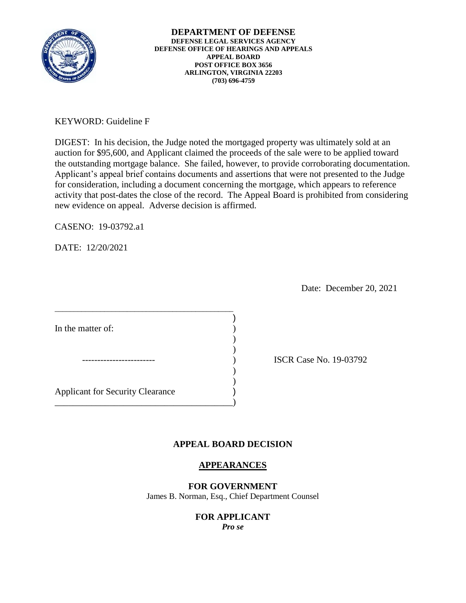

KEYWORD: Guideline F

DIGEST: In his decision, the Judge noted the mortgaged property was ultimately sold at an auction for \$95,600, and Applicant claimed the proceeds of the sale were to be applied toward the outstanding mortgage balance. She failed, however, to provide corroborating documentation. Applicant's appeal brief contains documents and assertions that were not presented to the Judge for consideration, including a document concerning the mortgage, which appears to reference activity that post-dates the close of the record. The Appeal Board is prohibited from considering new evidence on appeal. Adverse decision is affirmed.

CASENO: 19-03792.a1

DATE: 12/20/2021

Date: December 20, 2021

| In the matter of:                       |  |
|-----------------------------------------|--|
|                                         |  |
|                                         |  |
|                                         |  |
|                                         |  |
| <b>Applicant for Security Clearance</b> |  |
|                                         |  |
|                                         |  |

ISCR Case No. 19-03792

# **APPEAL BOARD DECISION**

## **APPEARANCES**

**FOR GOVERNMENT** 

James B. Norman, Esq., Chief Department Counsel

#### **FOR APPLICANT**  *Pro se*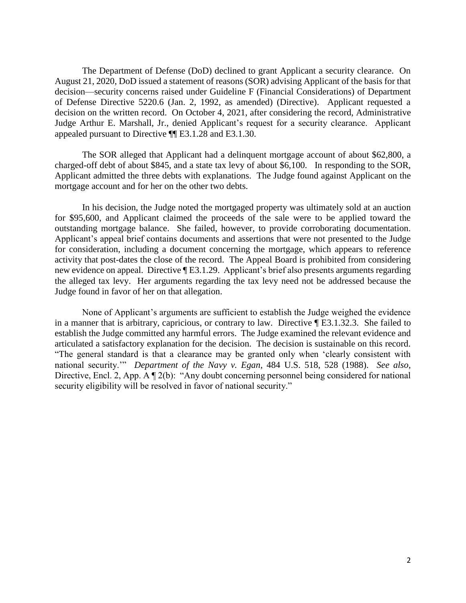The Department of Defense (DoD) declined to grant Applicant a security clearance. On August 21, 2020, DoD issued a statement of reasons (SOR) advising Applicant of the basis for that decision—security concerns raised under Guideline F (Financial Considerations) of Department of Defense Directive 5220.6 (Jan. 2, 1992, as amended) (Directive). Applicant requested a decision on the written record. On October 4, 2021, after considering the record, Administrative Judge Arthur E. Marshall, Jr., denied Applicant's request for a security clearance. Applicant appealed pursuant to Directive ¶¶ E3.1.28 and E3.1.30.

 charged-off debt of about \$845, and a state tax levy of about \$6,100. In responding to the SOR, Applicant admitted the three debts with explanations. The Judge found against Applicant on the The SOR alleged that Applicant had a delinquent mortgage account of about \$62,800, a mortgage account and for her on the other two debts.

 for \$95,600, and Applicant claimed the proceeds of the sale were to be applied toward the outstanding mortgage balance. She failed, however, to provide corroborating documentation. activity that post-dates the close of the record. The Appeal Board is prohibited from considering new evidence on appeal. Directive ¶ E3.1.29. Applicant's brief also presents arguments regarding the alleged tax levy. Her arguments regarding the tax levy need not be addressed because the In his decision, the Judge noted the mortgaged property was ultimately sold at an auction Applicant's appeal brief contains documents and assertions that were not presented to the Judge for consideration, including a document concerning the mortgage, which appears to reference Judge found in favor of her on that allegation.

 None of Applicant's arguments are sufficient to establish the Judge weighed the evidence in a manner that is arbitrary, capricious, or contrary to law. Directive ¶ E3.1.32.3. She failed to establish the Judge committed any harmful errors. The Judge examined the relevant evidence and articulated a satisfactory explanation for the decision. The decision is sustainable on this record. "The general standard is that a clearance may be granted only when 'clearly consistent with national security.'" *Department of the Navy v. Egan*, 484 U.S. 518, 528 (1988). *See also*, Directive, Encl. 2, App. A ¶ 2(b): "Any doubt concerning personnel being considered for national security eligibility will be resolved in favor of national security."